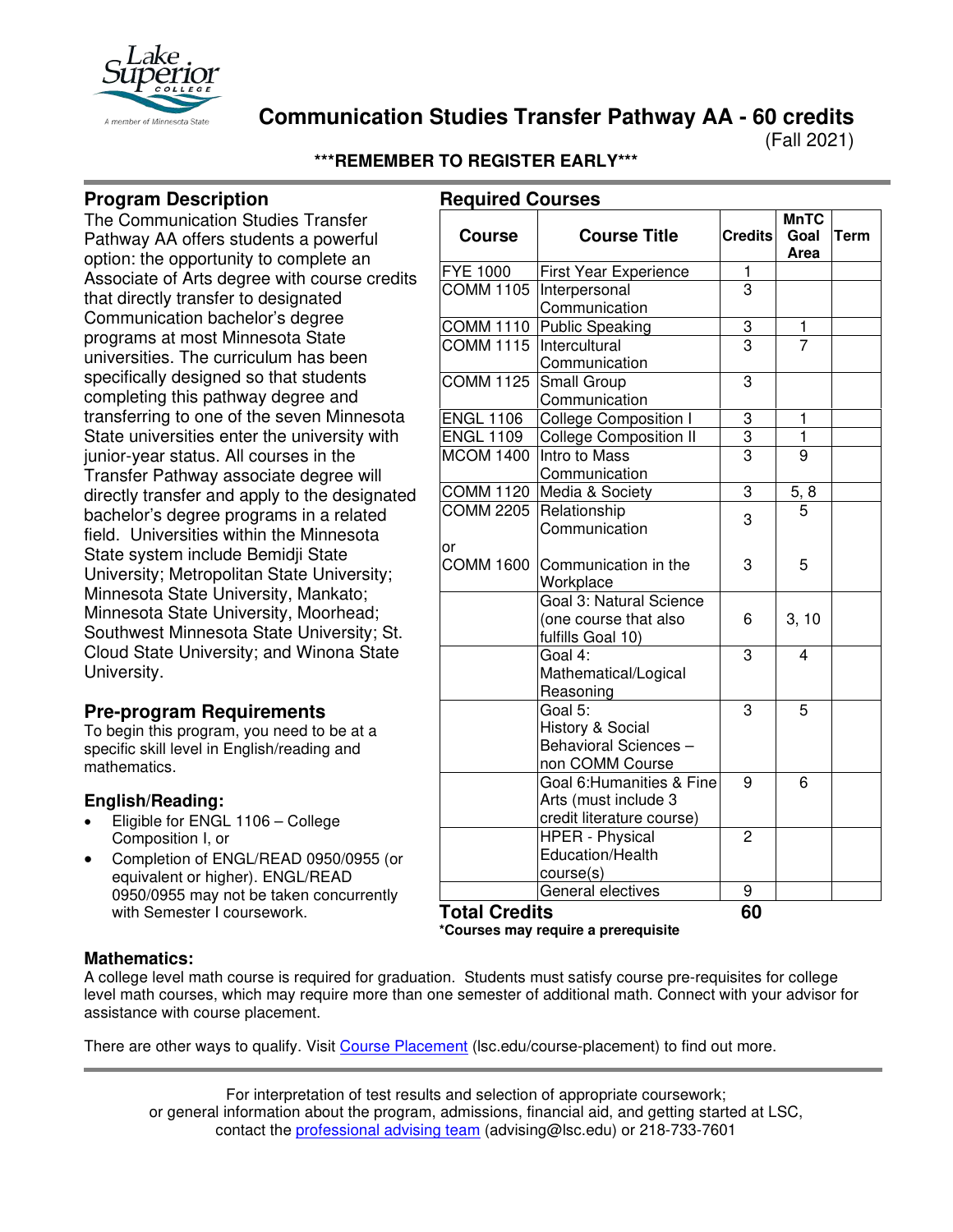

**Communication Studies Transfer Pathway AA - 60 credits**

(Fall 2021)

## **\*\*\*REMEMBER TO REGISTER EARLY\*\*\***

# **Program Description**

The Communication Studies Transfer Pathway AA offers students a powerful option: the opportunity to complete an Associate of Arts degree with course credits that directly transfer to designated Communication bachelor's degree programs at most Minnesota State universities. The curriculum has been specifically designed so that students completing this pathway degree and transferring to one of the seven Minnesota State universities enter the university with junior-year status. All courses in the Transfer Pathway associate degree will directly transfer and apply to the designated bachelor's degree programs in a related field. Universities within the Minnesota State system include Bemidji State University; Metropolitan State University; Minnesota State University, Mankato; Minnesota State University, Moorhead; Southwest Minnesota State University; St. Cloud State University; and Winona State University.

## **Pre-program Requirements**

To begin this program, you need to be at a specific skill level in English/reading and mathematics.

## **English/Reading:**

- Eligible for ENGL 1106 College Composition I, or
- Completion of ENGL/READ 0950/0955 (or equivalent or higher). ENGL/READ 0950/0955 may not be taken concurrently with Semester I coursework.

| <b>Required Courses</b><br><b>Course</b> | <b>Course Title</b>           | <b>Credits</b> | <b>MnTC</b><br>Goal<br>Area | Term |
|------------------------------------------|-------------------------------|----------------|-----------------------------|------|
| FYE 1000                                 | <b>First Year Experience</b>  | 1              |                             |      |
| <b>COMM 1105</b>                         | Interpersonal                 | $\overline{3}$ |                             |      |
|                                          | Communication                 |                |                             |      |
| <b>COMM 1110</b>                         | <b>Public Speaking</b>        | 3              | 1                           |      |
| <b>COMM 1115</b>                         | Intercultural                 | $\overline{3}$ | 7                           |      |
|                                          | Communication                 |                |                             |      |
| <b>COMM 1125</b>                         | Small Group                   | 3              |                             |      |
|                                          | Communication                 |                |                             |      |
| <b>ENGL 1106</b>                         | College Composition I         | 3              | $\mathbf 1$                 |      |
| <b>ENGL 1109</b>                         | <b>College Composition II</b> | $\overline{3}$ | $\overline{1}$              |      |
| <b>MCOM 1400</b>                         | Intro to Mass                 | $\overline{3}$ | $\overline{9}$              |      |
|                                          | Communication                 |                |                             |      |
| <b>COMM 1120</b>                         | Media & Society               | $\overline{3}$ | $\frac{5, 8}{5}$            |      |
| <b>COMM 2205</b>                         | Relationship                  | 3              |                             |      |
|                                          | Communication                 |                |                             |      |
| or                                       |                               |                |                             |      |
| <b>COMM 1600</b>                         | Communication in the          | 3              | 5                           |      |
|                                          | Workplace                     |                |                             |      |
|                                          | Goal 3: Natural Science       |                |                             |      |
|                                          | (one course that also         | 6              | 3, 10                       |      |
|                                          | fulfills Goal 10)             |                |                             |      |
|                                          | Goal 4:                       | 3              | 4                           |      |
|                                          | Mathematical/Logical          |                |                             |      |
|                                          | Reasoning                     |                |                             |      |
|                                          | Goal 5:                       | 3              | 5                           |      |
|                                          | History & Social              |                |                             |      |
|                                          | Behavioral Sciences -         |                |                             |      |
|                                          | non COMM Course               |                |                             |      |
|                                          | Goal 6: Humanities & Fine     | 9              | 6                           |      |
|                                          | Arts (must include 3          |                |                             |      |
|                                          | credit literature course)     |                |                             |      |
|                                          | <b>HPER - Physical</b>        | $\overline{2}$ |                             |      |
|                                          | Education/Health              |                |                             |      |
|                                          | course(s)                     |                |                             |      |
|                                          | General electives             | 9              |                             |      |
| <b>Total Credits</b>                     |                               | 60             |                             |      |

**\*Courses may require a prerequisite**

## **Mathematics:**

A college level math course is required for graduation. Students must satisfy course pre-requisites for college level math courses, which may require more than one semester of additional math. Connect with your advisor for assistance with course placement.

There are other ways to qualify. Visit [Course Placement](https://www.lsc.edu/course-placement/) (lsc.edu/course-placement) to find out more.

For interpretation of test results and selection of appropriate coursework; or general information about the program, admissions, financial aid, and getting started at LSC, contact the [professional advising team](mailto:advising@lsc.edu) (advising@lsc.edu) or 218-733-7601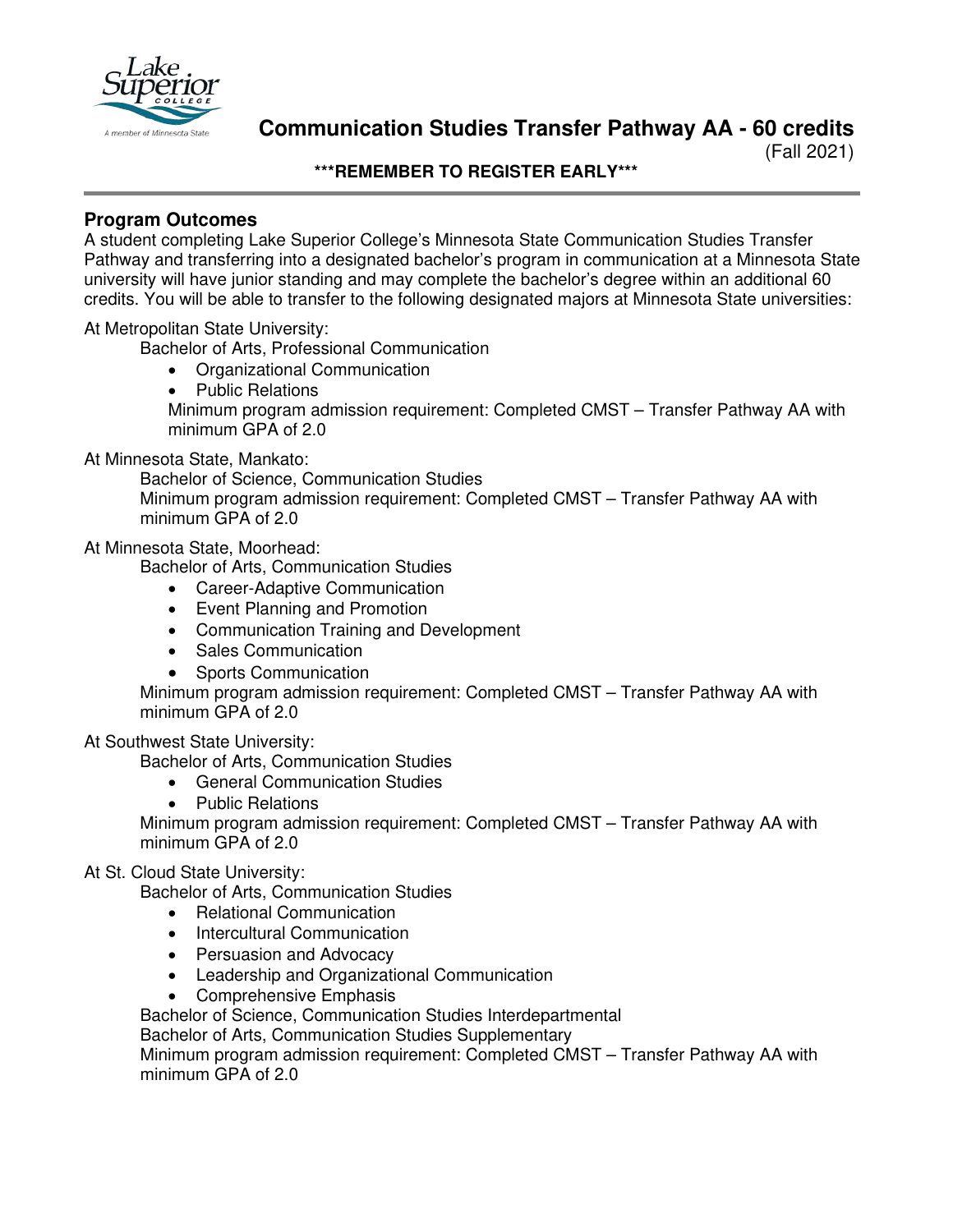

**Communication Studies Transfer Pathway AA - 60 credits**

(Fall 2021)

**\*\*\*REMEMBER TO REGISTER EARLY\*\*\***

## **Program Outcomes**

A student completing Lake Superior College's Minnesota State Communication Studies Transfer Pathway and transferring into a designated bachelor's program in communication at a Minnesota State university will have junior standing and may complete the bachelor's degree within an additional 60 credits. You will be able to transfer to the following designated majors at Minnesota State universities:

At Metropolitan State University:

Bachelor of Arts, Professional Communication

- Organizational Communication
- Public Relations Minimum program admission requirement: Completed CMST – Transfer Pathway AA with minimum GPA of 2.0

#### At Minnesota State, Mankato:

Bachelor of Science, Communication Studies Minimum program admission requirement: Completed CMST – Transfer Pathway AA with minimum GPA of 2.0

## At Minnesota State, Moorhead:

Bachelor of Arts, Communication Studies

- Career-Adaptive Communication
- Event Planning and Promotion
- Communication Training and Development
- Sales Communication
- Sports Communication

Minimum program admission requirement: Completed CMST – Transfer Pathway AA with minimum GPA of 2.0

## At Southwest State University:

Bachelor of Arts, Communication Studies

- General Communication Studies
- Public Relations

Minimum program admission requirement: Completed CMST – Transfer Pathway AA with minimum GPA of 2.0

## At St. Cloud State University:

Bachelor of Arts, Communication Studies

- Relational Communication
- Intercultural Communication
- Persuasion and Advocacy
- Leadership and Organizational Communication
- Comprehensive Emphasis

Bachelor of Science, Communication Studies Interdepartmental

Bachelor of Arts, Communication Studies Supplementary

Minimum program admission requirement: Completed CMST – Transfer Pathway AA with minimum GPA of 2.0